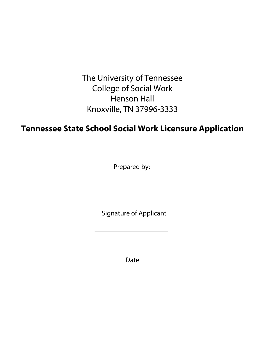The University of Tennessee College of Social Work Henson Hall Knoxville, TN 37996-3333

# **Tennessee State School Social Work Licensure Application**

Prepared by:

Signature of Applicant

Date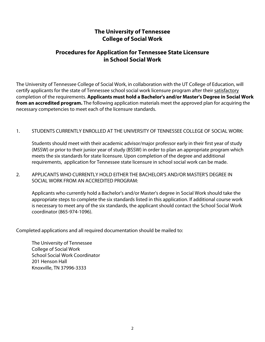## **The University of Tennessee College of Social Work**

### **Procedures for Application for Tennessee State Licensure in School Social Work**

The University of Tennessee College of Social Work, in collaboration with the UT College of Education, will certify applicants for the state of Tennessee school social work licensure program after their satisfactory completion of the requirements. **Applicants must hold a Bachelor's and/or Master's Degree in Social Work from an accredited program.** The following application materials meet the approved plan for acquiring the necessary competencies to meet each of the licensure standards.

#### 1. STUDENTS CURRENTLY ENROLLED AT THE UNIVERSITY OF TENNESSEE COLLEGE OF SOCIAL WORK:

Students should meet with their academic advisor/major professor early in their first year of study (MSSW) or prior to their junior year of study (BSSW) in order to plan an appropriate program which meets the six standards for state licensure. Upon completion of the degree and additional requirements, application for Tennessee state licensure in school social work can be made.

2. APPLICANTS WHO CURRENTLY HOLD EITHER THE BACHELOR'S AND/OR MASTER'S DEGREE IN SOCIAL WORK FROM AN ACCREDITED PROGRAM:

Applicants who currently hold a Bachelor's and/or Master's degree in Social Work should take the appropriate steps to complete the six standards listed in this application. If additional course work is necessary to meet any of the six standards, the applicant should contact the School Social Work coordinator (865-974-1096).

Completed applications and all required documentation should be mailed to:

The University of Tennessee College of Social Work School Social Work Coordinator 201 Henson Hall Knoxville, TN 37996-3333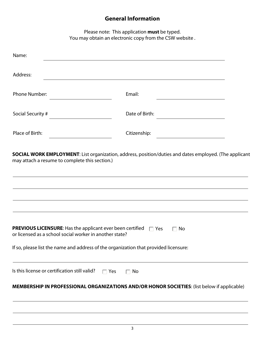## **General Information**

Please note: This application **must** be typed. You may obtain an electronic copy from the CSW website .

| Name:                                                                                                                                  |                                                                                                               |  |
|----------------------------------------------------------------------------------------------------------------------------------------|---------------------------------------------------------------------------------------------------------------|--|
| Address:                                                                                                                               |                                                                                                               |  |
| <b>Phone Number:</b>                                                                                                                   | Email:                                                                                                        |  |
| Social Security #                                                                                                                      | Date of Birth:                                                                                                |  |
| Place of Birth:                                                                                                                        | Citizenship:                                                                                                  |  |
| may attach a resume to complete this section.)                                                                                         | <b>SOCIAL WORK EMPLOYMENT:</b> List organization, address, position/duties and dates employed. (The applicant |  |
| <b>PREVIOUS LICENSURE:</b> Has the applicant ever been certified $\Box$ Yes<br>or licensed as a school social worker in another state? | $\Box$ No<br>If so, please list the name and address of the organization that provided licensure:             |  |
| Is this license or certification still valid? $\square$ Yes                                                                            | $\Box$ No                                                                                                     |  |
|                                                                                                                                        | MEMBERSHIP IN PROFESSIONAL ORGANIZATIONS AND/OR HONOR SOCIETIES: (list below if applicable)                   |  |
|                                                                                                                                        |                                                                                                               |  |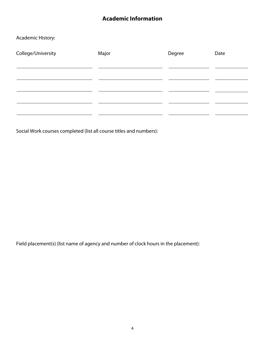## **Academic Information**

#### Academic History:

| College/University | Major | Degree | Date |
|--------------------|-------|--------|------|
|                    |       |        |      |
|                    |       |        |      |
|                    |       |        |      |
|                    |       |        |      |
|                    |       |        |      |

Social Work courses completed (list all course titles and numbers):

Field placement(s) (list name of agency and number of clock hours in the placement):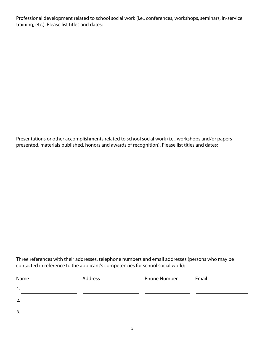Professional development related to school social work (i.e., conferences, workshops, seminars, in-service training, etc.). Please list titles and dates:

Presentations or other accomplishments related to school social work (i.e., workshops and/or papers presented, materials published, honors and awards of recognition). Please list titles and dates:

Three references with their addresses, telephone numbers and email addresses (persons who may be contacted in reference to the applicant's competencies for school social work):

| Name | Address | <b>Phone Number</b> | Email |
|------|---------|---------------------|-------|
| 1.   |         |                     |       |
| 2.   |         |                     |       |
| 3.   |         |                     |       |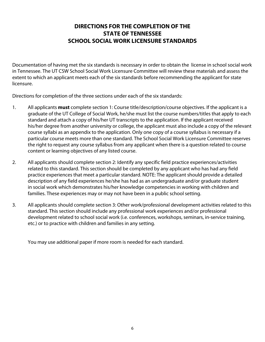## **DIRECTIONS FOR THE COMPLETION OF THE STATE OF TENNESSEE SCHOOL SOCIAL WORK LICENSURE STANDARDS**

Documentation of having met the six standards is necessary in order to obtain the license in school social work in Tennessee. The UT CSW School Social Work Licensure Committee will review these materials and assess the extent to which an applicant meets each of the six standards before recommending the applicant for state licensure.

Directions for completion of the three sections under each of the six standards:

- 1. All applicants **must** complete section 1: Course title/description/course objectives. If the applicant is a graduate of the UT College of Social Work, he/she must list the course numbers/titles that apply to each standard and attach a copy of his/her UT transcripts to the application. If the applicant received his/her degree from another university or college, the applicant must also include a copy of the relevant course syllabi as an appendix to the application. Only one copy of a course syllabus is necessary if a particular course meets more than one standard. The School Social Work Licensure Committee reserves the right to request any course syllabus from any applicant when there is a question related to course content or learning objectives of any listed course.
- 2. All applicants should complete section 2: Identify any specific field practice experiences/activities related to this standard. This section should be completed by any applicant who has had any field practice experiences that meet a particular standard. NOTE: The applicant should provide a detailed description of any field experiences he/she has had as an undergraduate and/or graduate student in social work which demonstrates his/her knowledge competencies in working with children and families. These experiences may or may not have been in a public school setting.
- 3. All applicants should complete section 3: Other work/professional development activities related to this standard. This section should include any professional work experiences and/or professional development related to school social work (i.e. conferences, workshops, seminars, in-service training, etc.) or to practice with children and families in any setting.

You may use additional paper if more room is needed for each standard.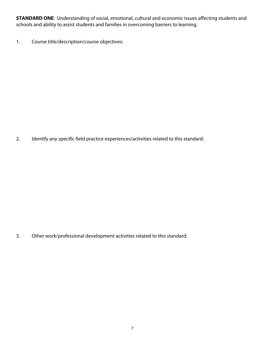**STANDARD ONE**: Understanding of social, emotional, cultural and economic issues affecting students and schools and ability to assist students and families in overcoming barriers to learning.

1. Course title/description/course objectives:

2. Identify any specific field practice experiences/activities related to this standard: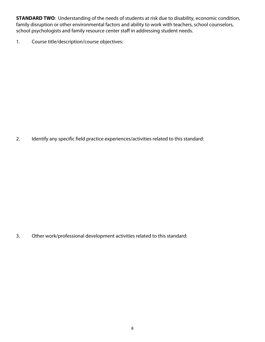**STANDARD TWO**: Understanding of the needs of students at risk due to disability, economic condition, family disruption or other environmental factors and ability to work with teachers, school counselors, school psychologists and family resource center staff in addressing student needs.

1. Course title/description/course objectives:

2. Identify any specific field practice experiences/activities related to this standard: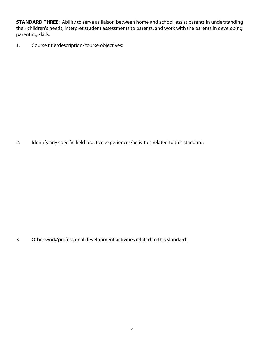**STANDARD THREE**: Ability to serve as liaison between home and school, assist parents in understanding their children's needs, interpret student assessments to parents, and work with the parents in developing parenting skills.

1. Course title/description/course objectives:

2. Identify any specific field practice experiences/activities related to this standard: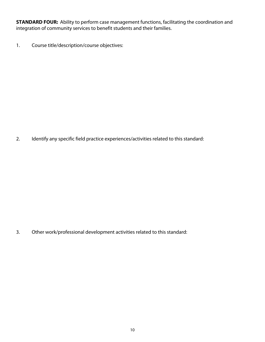**STANDARD FOUR:** Ability to perform case management functions, facilitating the coordination and integration of community services to benefit students and their families.

1. Course title/description/course objectives:

2. Identify any specific field practice experiences/activities related to this standard: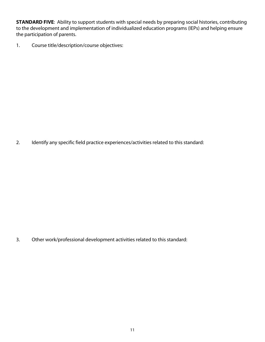**STANDARD FIVE:** Ability to support students with special needs by preparing social histories, contributing to the development and implementation of individualized education programs (IEPs) and helping ensure the participation of parents.

1. Course title/description/course objectives:

2. Identify any specific field practice experiences/activities related to this standard: